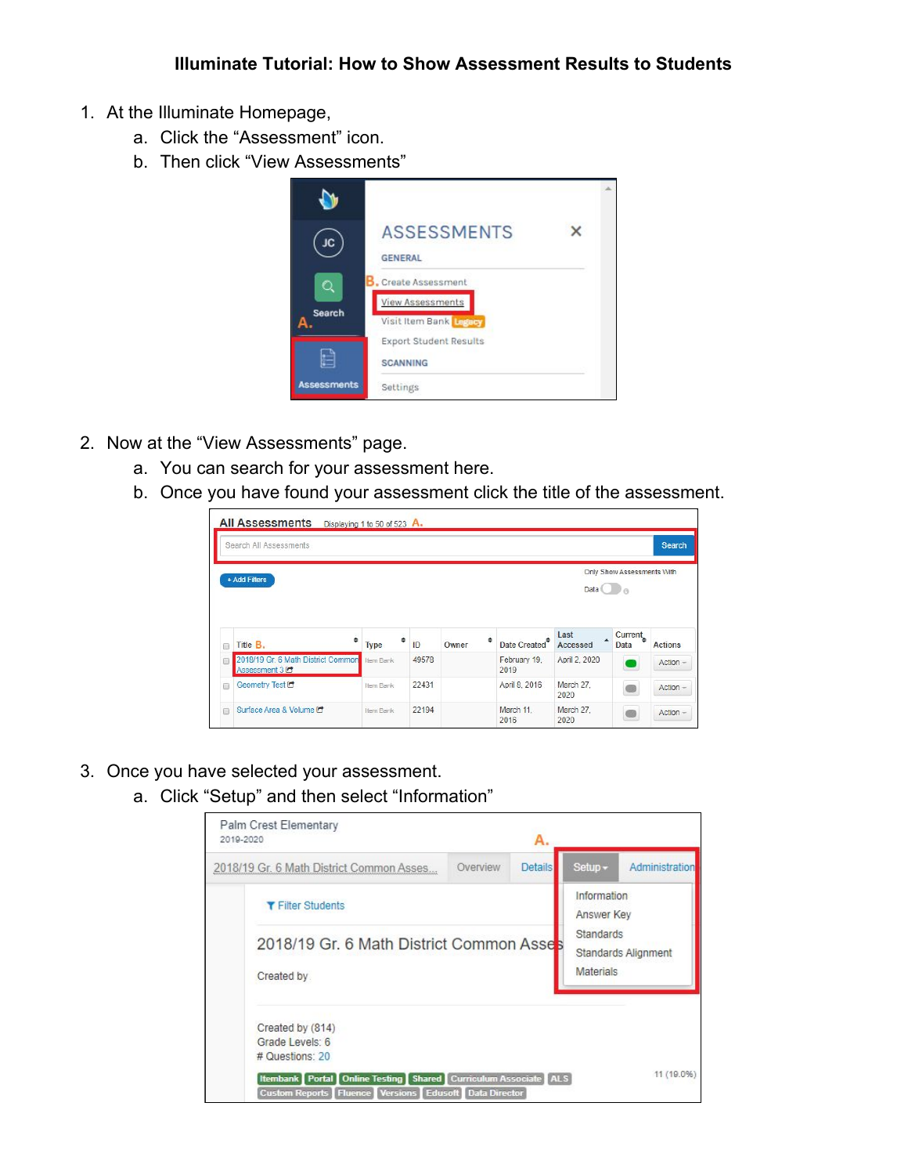- 1. At the Illuminate Homepage,
	- a. Click the "Assessment" icon.
	- b. Then click "View Assessments"



- 2. Now at the "View Assessments" page.
	- a. You can search for your assessment here.
	- b. Once you have found your assessment click the title of the assessment.

|             | Search All Assessments                                          |           |         |            |                           |                   |                              | <b>Search</b>             |
|-------------|-----------------------------------------------------------------|-----------|---------|------------|---------------------------|-------------------|------------------------------|---------------------------|
|             | + Add Filters                                                   |           |         |            |                           | Data $\Box$       | Only Show Assessments With   |                           |
|             |                                                                 |           |         |            |                           |                   |                              |                           |
|             | ٠<br>Title B.                                                   | Type      | ٠<br>ID | ۵<br>Owner | Date Created <sup>®</sup> | Last<br>Accessed  | Current <sub>•</sub><br>Data |                           |
|             | 2018/19 Gr. 6 Math District Common<br>Assessment 3 <sup>c</sup> | Item Bank | 49578   |            | February 19.<br>2019      | April 2, 2020     |                              | <b>Actions</b><br>Action- |
| o<br>O<br>Đ | Geometry Test C                                                 | Item Bank | 22431   |            | April 8, 2016             | March 27,<br>2020 |                              | Action -                  |

- 3. Once you have selected your assessment.
	- a. Click "Setup" and then select "Information"

| Palm Crest Elementary<br>2019-2020                                                                                                                      |          | A.             |                               |                            |
|---------------------------------------------------------------------------------------------------------------------------------------------------------|----------|----------------|-------------------------------|----------------------------|
| 2018/19 Gr. 6 Math District Common Asses                                                                                                                | Overview | <b>Details</b> | Setup -                       | Administration             |
| <b>T</b> Filter Students                                                                                                                                |          |                | Information<br>Answer Key     |                            |
| 2018/19 Gr. 6 Math District Common Asses<br>Created by                                                                                                  |          |                | Standards<br><b>Materials</b> | <b>Standards Alignment</b> |
| Created by (814)<br>Grade Levels: 6<br># Questions: 20                                                                                                  |          |                |                               |                            |
| <b>Itembank   Portal   Online Testing   Shared   Curriculum Associate   ALS</b><br><b>Custom Reports   Fluence   Versions   Edusoft   Data Director</b> |          |                |                               | 11 (19.0%)                 |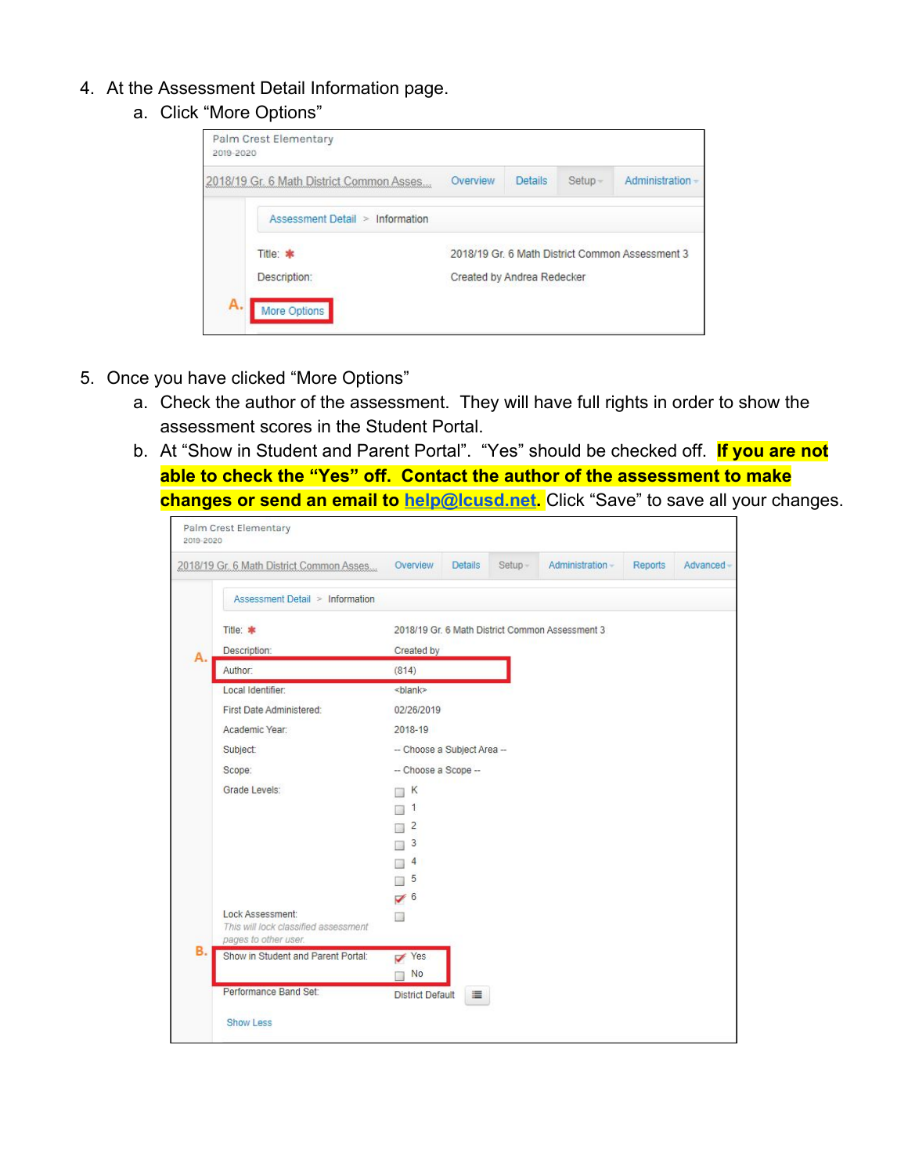- 4. At the Assessment Detail Information page.
	- a. Click "More Options"

| 2018/19 Gr. 6 Math District Common Asses. | Overview                   | <b>Details</b> | Setup- | Administration                                  |
|-------------------------------------------|----------------------------|----------------|--------|-------------------------------------------------|
| Assessment Detail > Information           |                            |                |        |                                                 |
| Title: *                                  |                            |                |        | 2018/19 Gr. 6 Math District Common Assessment 3 |
| Description:                              | Created by Andrea Redecker |                |        |                                                 |

- 5. Once you have clicked "More Options"
	- a. Check the author of the assessment. They will have full rights in order to show the assessment scores in the Student Portal.
	- b. At "Show in Student and Parent Portal". "Yes" should be checked off. **If you are not able to check the "Yes" off. Contact the author of the assessment to make changes or send an email to [help@lcusd.net.](mailto:help@lcusd.net)** Click "Save" to save all your changes.

|    | 2018/19 Gr. 6 Math District Common Asses                                         | Overview                    | <b>Details</b> | Setup- | Administration-                                 | Reports | Advanced- |
|----|----------------------------------------------------------------------------------|-----------------------------|----------------|--------|-------------------------------------------------|---------|-----------|
|    | Assessment Detail > Information                                                  |                             |                |        |                                                 |         |           |
|    | Title: *                                                                         |                             |                |        | 2018/19 Gr. 6 Math District Common Assessment 3 |         |           |
| А. | Description:                                                                     | Created by                  |                |        |                                                 |         |           |
|    | Author:                                                                          | (814)                       |                |        |                                                 |         |           |
|    | Local Identifier:                                                                | <blank></blank>             |                |        |                                                 |         |           |
|    | First Date Administered:                                                         | 02/26/2019                  |                |        |                                                 |         |           |
|    | Academic Year:                                                                   | 2018-19                     |                |        |                                                 |         |           |
|    | Subject:                                                                         | -- Choose a Subject Area -- |                |        |                                                 |         |           |
|    | Scope:                                                                           | -- Choose a Scope --        |                |        |                                                 |         |           |
|    | Grade Levels:                                                                    | К                           |                |        |                                                 |         |           |
|    |                                                                                  | 1                           |                |        |                                                 |         |           |
|    |                                                                                  | $\overline{2}$              |                |        |                                                 |         |           |
|    |                                                                                  | 3                           |                |        |                                                 |         |           |
|    |                                                                                  | 4                           |                |        |                                                 |         |           |
|    |                                                                                  | 5                           |                |        |                                                 |         |           |
|    |                                                                                  | $\sqrt{6}$                  |                |        |                                                 |         |           |
|    | Lock Assessment:<br>This will lock classified assessment<br>pages to other user. |                             |                |        |                                                 |         |           |
| в. | Show in Student and Parent Portal:                                               | $\vee$ Yes                  |                |        |                                                 |         |           |
|    |                                                                                  | No                          |                |        |                                                 |         |           |
|    | Performance Band Set:                                                            | <b>District Default</b>     | 這              |        |                                                 |         |           |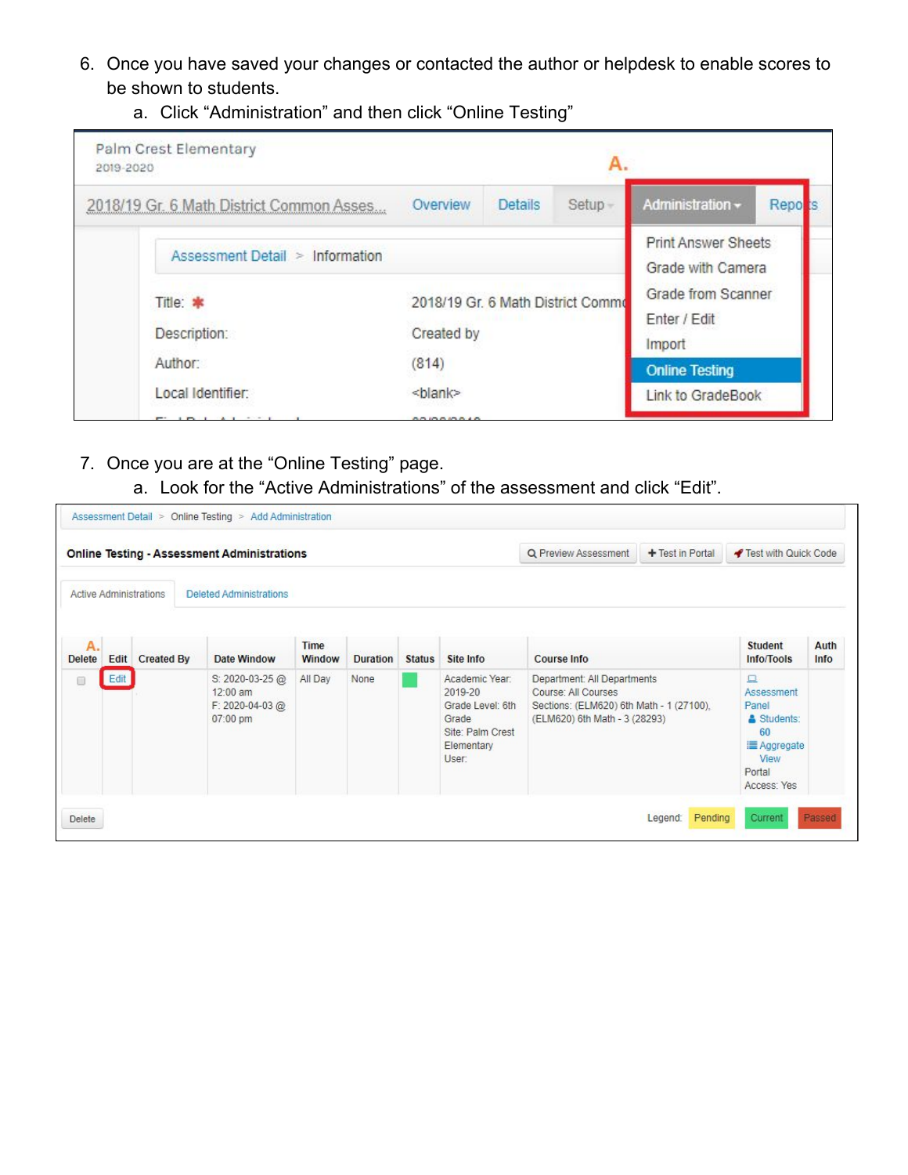- 6. Once you have saved your changes or contacted the author or helpdesk to enable scores to be shown to students.
	- a. Click "Administration" and then click "Online Testing"



- 7. Once you are at the "Online Testing" page.
	- a. Look for the "Active Administrations" of the assessment and click "Edit".

|                     |      |                               | <b>Online Testing - Assessment Administrations</b>          |                       |                 |               |                                                                                                   | Q Preview Assessment                                                                                                            | + Test in Portal | ◀ Test with Quick Code                                                                                     |              |
|---------------------|------|-------------------------------|-------------------------------------------------------------|-----------------------|-----------------|---------------|---------------------------------------------------------------------------------------------------|---------------------------------------------------------------------------------------------------------------------------------|------------------|------------------------------------------------------------------------------------------------------------|--------------|
|                     |      | <b>Active Administrations</b> | <b>Deleted Administrations</b>                              |                       |                 |               |                                                                                                   |                                                                                                                                 |                  |                                                                                                            |              |
| Α.<br><b>Delete</b> | Edit | <b>Created By</b>             | Date Window                                                 | Time<br><b>Window</b> | <b>Duration</b> | <b>Status</b> | Site Info                                                                                         | <b>Course Info</b>                                                                                                              |                  | <b>Student</b><br>Info/Tools                                                                               | Auth<br>Info |
| □                   | Edit |                               | S: 2020-03-25 @<br>$12:00$ am<br>F: 2020-04-03@<br>07:00 pm | All Day               | None            |               | Academic Year:<br>2019-20<br>Grade Level: 6th<br>Grade<br>Site: Palm Crest<br>Elementary<br>User: | Department: All Departments<br>Course: All Courses<br>Sections: (ELM620) 6th Math - 1 (27100).<br>(ELM620) 6th Math - 3 (28293) |                  | $\Box$<br><b>Assessment</b><br>Panel<br>& Students:<br>60<br>i≣ Aggregate<br>View<br>Portal<br>Access: Yes |              |